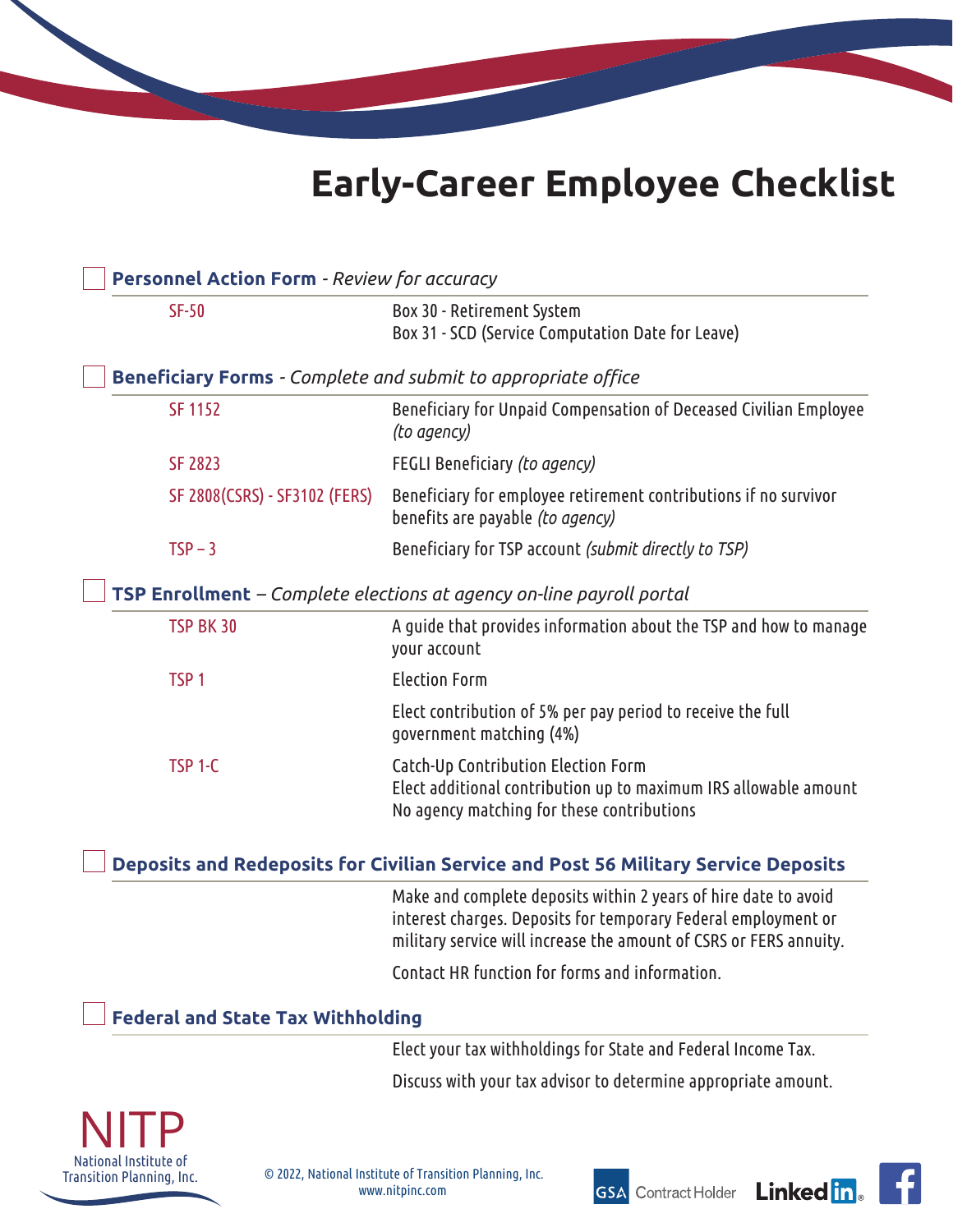# **Early-Career Employee Checklist**

| <b>Personnel Action Form - Review for accuracy</b>                                 |                               |                                                                                                                                                                                                         |
|------------------------------------------------------------------------------------|-------------------------------|---------------------------------------------------------------------------------------------------------------------------------------------------------------------------------------------------------|
| $SF-50$                                                                            |                               | Box 30 - Retirement System                                                                                                                                                                              |
|                                                                                    |                               | Box 31 - SCD (Service Computation Date for Leave)                                                                                                                                                       |
| <b>Beneficiary Forms</b> - Complete and submit to appropriate office               |                               |                                                                                                                                                                                                         |
| <b>SF 1152</b>                                                                     |                               | Beneficiary for Unpaid Compensation of Deceased Civilian Employee<br>(to agency)                                                                                                                        |
| <b>SF 2823</b>                                                                     |                               | FEGLI Beneficiary (to agency)                                                                                                                                                                           |
|                                                                                    | SF 2808(CSRS) - SF3102 (FERS) | Beneficiary for employee retirement contributions if no survivor<br>benefits are payable (to agency)                                                                                                    |
| $TSP - 3$                                                                          |                               | Beneficiary for TSP account (submit directly to TSP)                                                                                                                                                    |
| TSP Enrollment - Complete elections at agency on-line payroll portal               |                               |                                                                                                                                                                                                         |
| TSP BK 30                                                                          |                               | A guide that provides information about the TSP and how to manage<br>your account                                                                                                                       |
| TSP <sub>1</sub>                                                                   |                               | <b>Election Form</b>                                                                                                                                                                                    |
|                                                                                    |                               | Elect contribution of 5% per pay period to receive the full<br>government matching (4%)                                                                                                                 |
| TSP <sub>1</sub> -C                                                                |                               | Catch-Up Contribution Election Form<br>Elect additional contribution up to maximum IRS allowable amount<br>No agency matching for these contributions                                                   |
| Deposits and Redeposits for Civilian Service and Post 56 Military Service Deposits |                               |                                                                                                                                                                                                         |
|                                                                                    |                               | Make and complete deposits within 2 years of hire date to avoid<br>interest charges. Deposits for temporary Federal employment or<br>military service will increase the amount of CSRS or FERS annuity. |
|                                                                                    |                               | Contact HR function for forms and information.                                                                                                                                                          |
| <b>Federal and State Tax Withholding</b>                                           |                               |                                                                                                                                                                                                         |
|                                                                                    |                               | Elect your tax withholdings for State and Federal Income Tax.                                                                                                                                           |
|                                                                                    |                               | Discuss with your tax advisor to determine appropriate amount.                                                                                                                                          |